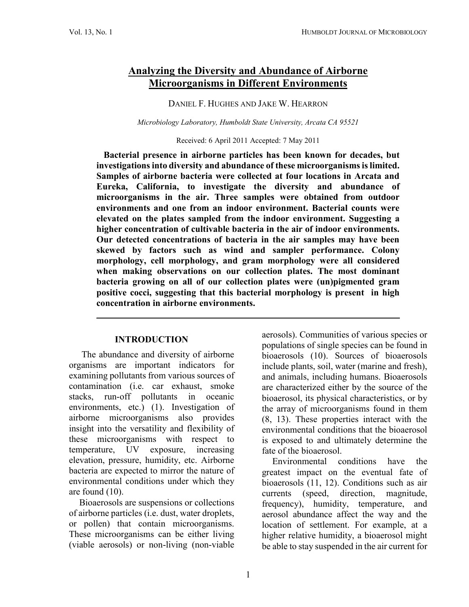# **Analyzing the Diversity and Abundance of Airborne Microorganisms in Different Environments**

DANIEL F. HUGHES AND JAKE W. HEARRON

*Microbiology Laboratory, Humboldt State University, Arcata CA 95521*

Received: 6 April 2011 Accepted: 7 May 2011

**Bacterial presence in airborne particles has been known for decades, but investigations into diversity and abundance of these microorganisms is limited. Samples of airborne bacteria were collected at four locations in Arcata and Eureka, California, to investigate the diversity and abundance of microorganisms in the air. Three samples were obtained from outdoor environments and one from an indoor environment. Bacterial counts were elevated on the plates sampled from the indoor environment. Suggesting a higher concentration of cultivable bacteria in the air of indoor environments. Our detected concentrations of bacteria in the air samples may have been skewed by factors such as wind and sampler performance. Colony morphology, cell morphology, and gram morphology were all considered when making observations on our collection plates. The most dominant bacteria growing on all of our collection plates were (un)pigmented gram positive cocci, suggesting that this bacterial morphology is present in high concentration in airborne environments.**

**\_\_\_\_\_\_\_\_\_\_\_\_\_\_\_\_\_\_\_\_\_\_\_\_\_\_\_\_\_\_\_\_\_\_\_\_\_\_\_\_\_\_\_\_\_\_\_\_\_\_\_\_\_\_\_\_\_\_\_\_\_\_\_\_\_\_**

#### **INTRODUCTION**

The abundance and diversity of airborne organisms are important indicators for examining pollutants from various sources of contamination (i.e. car exhaust, smoke stacks, run-off pollutants in oceanic environments, etc.) (1). Investigation of airborne microorganisms also provides insight into the versatility and flexibility of these microorganisms with respect to temperature, UV exposure, increasing elevation, pressure, humidity, etc. Airborne bacteria are expected to mirror the nature of environmental conditions under which they are found (10).

Bioaerosols are suspensions or collections of airborne particles (i.e. dust, water droplets, or pollen) that contain microorganisms. These microorganisms can be either living (viable aerosols) or non-living (non-viable

aerosols). Communities of various species or populations of single species can be found in bioaerosols (10). Sources of bioaerosols include plants, soil, water (marine and fresh), and animals, including humans. Bioaerosols are characterized either by the source of the bioaerosol, its physical characteristics, or by the array of microorganisms found in them (8, 13). These properties interact with the environmental conditions that the bioaerosol is exposed to and ultimately determine the fate of the bioaerosol.

Environmental conditions have the greatest impact on the eventual fate of bioaerosols (11, 12). Conditions such as air currents (speed, direction, magnitude, frequency), humidity, temperature, and aerosol abundance affect the way and the location of settlement. For example, at a higher relative humidity, a bioaerosol might be able to stay suspended in the air current for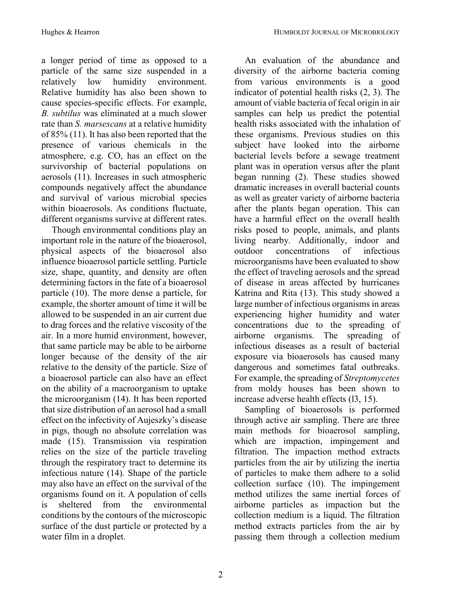a longer period of time as opposed to a particle of the same size suspended in a relatively low humidity environment. Relative humidity has also been shown to cause species-specific effects. For example, *B. subtilus* was eliminated at a much slower rate than *S. marsescans* at a relative humidity of 85% (11). It has also been reported that the presence of various chemicals in the atmosphere, e.g. CO, has an effect on the survivorship of bacterial populations on aerosols (11). Increases in such atmospheric compounds negatively affect the abundance and survival of various microbial species within bioaerosols. As conditions fluctuate, different organisms survive at different rates.

Though environmental conditions play an important role in the nature of the bioaerosol, physical aspects of the bioaerosol also influence bioaerosol particle settling. Particle size, shape, quantity, and density are often determining factors in the fate of a bioaerosol particle (10). The more dense a particle, for example, the shorter amount of time it will be allowed to be suspended in an air current due to drag forces and the relative viscosity of the air. In a more humid environment, however, that same particle may be able to be airborne longer because of the density of the air relative to the density of the particle. Size of a bioaerosol particle can also have an effect on the ability of a macroorganism to uptake the microorganism (14). It has been reported that size distribution of an aerosol had a small effect on the infectivity of Aujeszky's disease in pigs, though no absolute correlation was made (15). Transmission via respiration relies on the size of the particle traveling through the respiratory tract to determine its infectious nature (14). Shape of the particle may also have an effect on the survival of the organisms found on it. A population of cells is sheltered from the environmental conditions by the contours of the microscopic surface of the dust particle or protected by a water film in a droplet.

An evaluation of the abundance and diversity of the airborne bacteria coming from various environments is a good indicator of potential health risks (2, 3). The amount of viable bacteria of fecal origin in air samples can help us predict the potential health risks associated with the inhalation of these organisms. Previous studies on this subject have looked into the airborne bacterial levels before a sewage treatment plant was in operation versus after the plant began running (2). These studies showed dramatic increases in overall bacterial counts as well as greater variety of airborne bacteria after the plants began operation. This can have a harmful effect on the overall health risks posed to people, animals, and plants living nearby. Additionally, indoor and outdoor concentrations of infectious microorganisms have been evaluated to show the effect of traveling aerosols and the spread of disease in areas affected by hurricanes Katrina and Rita (13). This study showed a large number of infectious organisms in areas experiencing higher humidity and water concentrations due to the spreading of airborne organisms. The spreading of infectious diseases as a result of bacterial exposure via bioaerosols has caused many dangerous and sometimes fatal outbreaks. For example, the spreading of *Streptomycetes* from moldy houses has been shown to increase adverse health effects (l3, 15).

Sampling of bioaerosols is performed through active air sampling. There are three main methods for bioaerosol sampling, which are impaction, impingement and filtration. The impaction method extracts particles from the air by utilizing the inertia of particles to make them adhere to a solid collection surface (10). The impingement method utilizes the same inertial forces of airborne particles as impaction but the collection medium is a liquid. The filtration method extracts particles from the air by passing them through a collection medium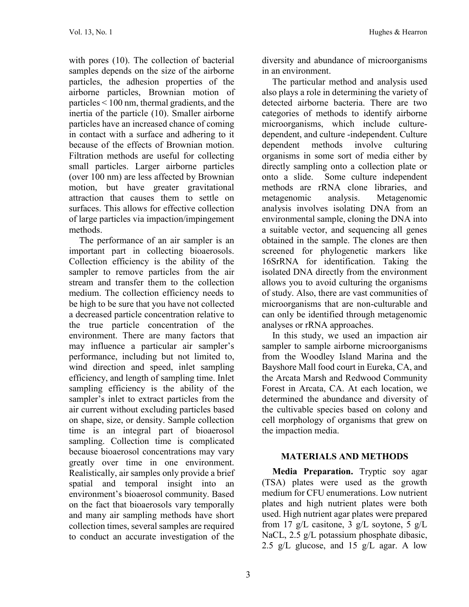with pores (10). The collection of bacterial samples depends on the size of the airborne particles, the adhesion properties of the airborne particles, Brownian motion of particles < 100 nm, thermal gradients, and the inertia of the particle (10). Smaller airborne particles have an increased chance of coming in contact with a surface and adhering to it because of the effects of Brownian motion. Filtration methods are useful for collecting small particles. Larger airborne particles (over 100 nm) are less affected by Brownian motion, but have greater gravitational attraction that causes them to settle on surfaces. This allows for effective collection of large particles via impaction/impingement methods.

The performance of an air sampler is an important part in collecting bioaerosols. Collection efficiency is the ability of the sampler to remove particles from the air stream and transfer them to the collection medium. The collection efficiency needs to be high to be sure that you have not collected a decreased particle concentration relative to the true particle concentration of the environment. There are many factors that may influence a particular air sampler's performance, including but not limited to, wind direction and speed, inlet sampling efficiency, and length of sampling time. Inlet sampling efficiency is the ability of the sampler's inlet to extract particles from the air current without excluding particles based on shape, size, or density. Sample collection time is an integral part of bioaerosol sampling. Collection time is complicated because bioaerosol concentrations may vary greatly over time in one environment. Realistically, air samples only provide a brief spatial and temporal insight into an environment's bioaerosol community. Based on the fact that bioaerosols vary temporally and many air sampling methods have short collection times, several samples are required to conduct an accurate investigation of the

diversity and abundance of microorganisms in an environment.

The particular method and analysis used also plays a role in determining the variety of detected airborne bacteria. There are two categories of methods to identify airborne microorganisms, which include culturedependent, and culture -independent. Culture dependent methods involve culturing organisms in some sort of media either by directly sampling onto a collection plate or onto a slide. Some culture independent methods are rRNA clone libraries, and metagenomic analysis. Metagenomic analysis involves isolating DNA from an environmental sample, cloning the DNA into a suitable vector, and sequencing all genes obtained in the sample. The clones are then screened for phylogenetic markers like 16SrRNA for identification. Taking the isolated DNA directly from the environment allows you to avoid culturing the organisms of study. Also, there are vast communities of microorganisms that are non-culturable and can only be identified through metagenomic analyses or rRNA approaches.

In this study, we used an impaction air sampler to sample airborne microorganisms from the Woodley Island Marina and the Bayshore Mall food court in Eureka, CA, and the Arcata Marsh and Redwood Community Forest in Arcata, CA. At each location, we determined the abundance and diversity of the cultivable species based on colony and cell morphology of organisms that grew on the impaction media.

#### **MATERIALS AND METHODS**

**Media Preparation.** Tryptic soy agar (TSA) plates were used as the growth medium for CFU enumerations. Low nutrient plates and high nutrient plates were both used. High nutrient agar plates were prepared from 17 g/L casitone, 3 g/L soytone, 5 g/L NaCL, 2.5 g/L potassium phosphate dibasic, 2.5 g/L glucose, and 15 g/L agar. A low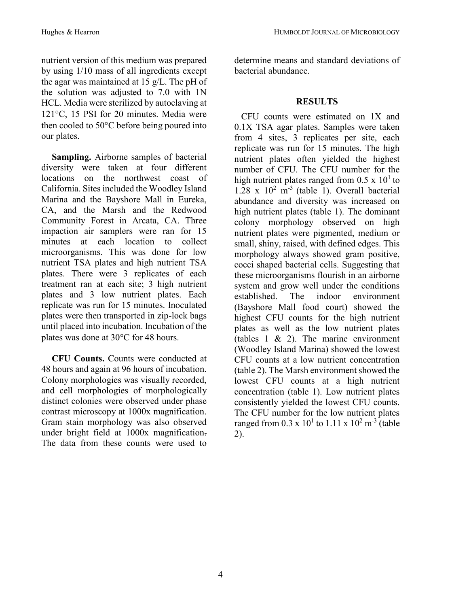nutrient version of this medium was prepared by using 1/10 mass of all ingredients except the agar was maintained at 15 g/L. The pH of the solution was adjusted to 7.0 with 1N HCL. Media were sterilized by autoclaving at 121°C, 15 PSI for 20 minutes. Media were then cooled to  $50^{\circ}$ C before being poured into our plates.

**Sampling.** Airborne samples of bacterial diversity were taken at four different locations on the northwest coast of California. Sites included the Woodley Island Marina and the Bayshore Mall in Eureka, CA, and the Marsh and the Redwood Community Forest in Arcata, CA. Three impaction air samplers were ran for 15 minutes at each location to collect microorganisms. This was done for low nutrient TSA plates and high nutrient TSA plates. There were 3 replicates of each treatment ran at each site; 3 high nutrient plates and 3 low nutrient plates. Each replicate was run for 15 minutes. Inoculated plates were then transported in zip-lock bags until placed into incubation. Incubation of the plates was done at 30°C for 48 hours.

**CFU Counts.** Counts were conducted at 48 hours and again at 96 hours of incubation. Colony morphologies was visually recorded, and cell morphologies of morphologically distinct colonies were observed under phase contrast microscopy at 1000x magnification. Gram stain morphology was also observed under bright field at 1000x magnification. The data from these counts were used to determine means and standard deviations of bacterial abundance.

## **RESULTS**

 CFU counts were estimated on 1X and 0.1X TSA agar plates. Samples were taken from 4 sites, 3 replicates per site, each replicate was run for 15 minutes. The high nutrient plates often yielded the highest number of CFU. The CFU number for the high nutrient plates ranged from  $0.5 \times 10^{1}$  to  $1.28 \times 10^2$  m<sup>-3</sup> (table 1). Overall bacterial abundance and diversity was increased on high nutrient plates (table 1). The dominant colony morphology observed on high nutrient plates were pigmented, medium or small, shiny, raised, with defined edges. This morphology always showed gram positive, cocci shaped bacterial cells. Suggesting that these microorganisms flourish in an airborne system and grow well under the conditions established. The indoor environment (Bayshore Mall food court) showed the highest CFU counts for the high nutrient plates as well as the low nutrient plates (tables 1 & 2). The marine environment (Woodley Island Marina) showed the lowest CFU counts at a low nutrient concentration (table 2). The Marsh environment showed the lowest CFU counts at a high nutrient concentration (table 1). Low nutrient plates consistently yielded the lowest CFU counts. The CFU number for the low nutrient plates ranged from 0.3 x  $10^{1}$  to 1.11 x  $10^{2}$  m<sup>-3</sup> (table 2).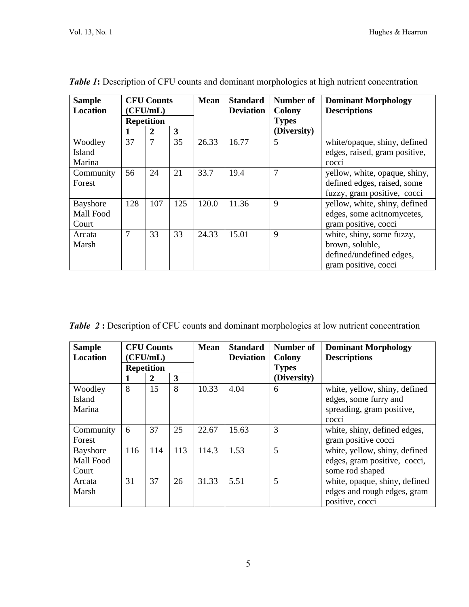| <b>Sample</b><br><b>Location</b> | <b>CFU Counts</b><br>(CFU/mL)<br><b>Repetition</b> |                |     | <b>Mean</b> | <b>Standard</b><br><b>Deviation</b> | Number of<br><b>Colony</b><br><b>Types</b> | <b>Dominant Morphology</b><br><b>Descriptions</b>                                                |
|----------------------------------|----------------------------------------------------|----------------|-----|-------------|-------------------------------------|--------------------------------------------|--------------------------------------------------------------------------------------------------|
|                                  |                                                    | 2              | 3   |             |                                     | (Diversity)                                |                                                                                                  |
| Woodley<br>Island<br>Marina      | 37                                                 | $\overline{7}$ | 35  | 26.33       | 16.77                               | 5                                          | white/opaque, shiny, defined<br>edges, raised, gram positive,<br>cocci                           |
| Community<br>Forest              | 56                                                 | 24             | 21  | 33.7        | 19.4                                | 7                                          | yellow, white, opaque, shiny,<br>defined edges, raised, some<br>fuzzy, gram positive, cocci      |
| Bayshore<br>Mall Food<br>Court   | 128                                                | 107            | 125 | 120.0       | 11.36                               | 9                                          | yellow, white, shiny, defined<br>edges, some acit nomycetes,<br>gram positive, cocci             |
| Arcata<br>Marsh                  | 7                                                  | 33             | 33  | 24.33       | 15.01                               | 9                                          | white, shiny, some fuzzy,<br>brown, soluble,<br>defined/undefined edges,<br>gram positive, cocci |

**Table 1:** Description of CFU counts and dominant morphologies at high nutrient concentration

**Table 2:** Description of CFU counts and dominant morphologies at low nutrient concentration

| <b>Sample</b> |                   | <b>CFU Counts</b> |     | <b>Mean</b> | <b>Standard</b>  | Number of     | <b>Dominant Morphology</b>    |
|---------------|-------------------|-------------------|-----|-------------|------------------|---------------|-------------------------------|
| Location      | (CFU/mL)          |                   |     |             | <b>Deviation</b> | <b>Colony</b> | <b>Descriptions</b>           |
|               | <b>Repetition</b> |                   |     |             |                  | <b>Types</b>  |                               |
|               |                   | $\boldsymbol{2}$  | 3   |             |                  | (Diversity)   |                               |
| Woodley       | 8                 | 15                | 8   | 10.33       | 4.04             | 6             | white, yellow, shiny, defined |
| Island        |                   |                   |     |             |                  |               | edges, some furry and         |
| Marina        |                   |                   |     |             |                  |               | spreading, gram positive,     |
|               |                   |                   |     |             |                  |               | cocci                         |
| Community     | 6                 | 37                | 25  | 22.67       | 15.63            | 3             | white, shiny, defined edges,  |
| Forest        |                   |                   |     |             |                  |               | gram positive cocci           |
| Bayshore      | 116               | 114               | 113 | 114.3       | 1.53             | 5             | white, yellow, shiny, defined |
| Mall Food     |                   |                   |     |             |                  |               | edges, gram positive, cocci,  |
| Court         |                   |                   |     |             |                  |               | some rod shaped               |
| Arcata        | 31                | 37                | 26  | 31.33       | 5.51             | 5             | white, opaque, shiny, defined |
| Marsh         |                   |                   |     |             |                  |               | edges and rough edges, gram   |
|               |                   |                   |     |             |                  |               | positive, cocci               |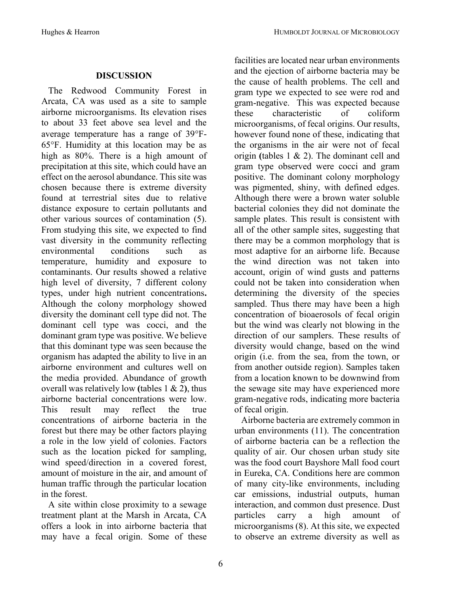## **DISCUSSION**

 The Redwood Community Forest in Arcata, CA was used as a site to sample airborne microorganisms. Its elevation rises to about 33 feet above sea level and the average temperature has a range of 39F- $65^{\circ}$ F. Humidity at this location may be as high as 80%. There is a high amount of precipitation at this site, which could have an effect on the aerosol abundance. This site was chosen because there is extreme diversity found at terrestrial sites due to relative distance exposure to certain pollutants and other various sources of contamination (5). From studying this site, we expected to find vast diversity in the community reflecting environmental conditions such as temperature, humidity and exposure to contaminants. Our results showed a relative high level of diversity, 7 different colony types, under high nutrient concentrations**.**  Although the colony morphology showed diversity the dominant cell type did not. The dominant cell type was cocci, and the dominant gram type was positive. We believe that this dominant type was seen because the organism has adapted the ability to live in an airborne environment and cultures well on the media provided. Abundance of growth overall was relatively low **(**tables 1 & 2**)**, thus airborne bacterial concentrations were low. This result may reflect the true concentrations of airborne bacteria in the forest but there may be other factors playing a role in the low yield of colonies. Factors such as the location picked for sampling, wind speed/direction in a covered forest, amount of moisture in the air, and amount of human traffic through the particular location in the forest.

 A site within close proximity to a sewage treatment plant at the Marsh in Arcata, CA offers a look in into airborne bacteria that may have a fecal origin. Some of these

facilities are located near urban environments and the ejection of airborne bacteria may be the cause of health problems. The cell and gram type we expected to see were rod and gram-negative. This was expected because these characteristic of coliform microorganisms, of fecal origins. Our results, however found none of these, indicating that the organisms in the air were not of fecal origin **(**tables 1 & 2). The dominant cell and gram type observed were cocci and gram positive. The dominant colony morphology was pigmented, shiny, with defined edges. Although there were a brown water soluble bacterial colonies they did not dominate the sample plates. This result is consistent with all of the other sample sites, suggesting that there may be a common morphology that is most adaptive for an airborne life. Because the wind direction was not taken into account, origin of wind gusts and patterns could not be taken into consideration when determining the diversity of the species sampled. Thus there may have been a high concentration of bioaerosols of fecal origin but the wind was clearly not blowing in the direction of our samplers. These results of diversity would change, based on the wind origin (i.e. from the sea, from the town, or from another outside region). Samples taken from a location known to be downwind from the sewage site may have experienced more gram-negative rods, indicating more bacteria of fecal origin.

 Airborne bacteria are extremely common in urban environments (11). The concentration of airborne bacteria can be a reflection the quality of air. Our chosen urban study site was the food court Bayshore Mall food court in Eureka, CA. Conditions here are common of many city-like environments, including car emissions, industrial outputs, human interaction, and common dust presence. Dust particles carry a high amount of microorganisms (8). At this site, we expected to observe an extreme diversity as well as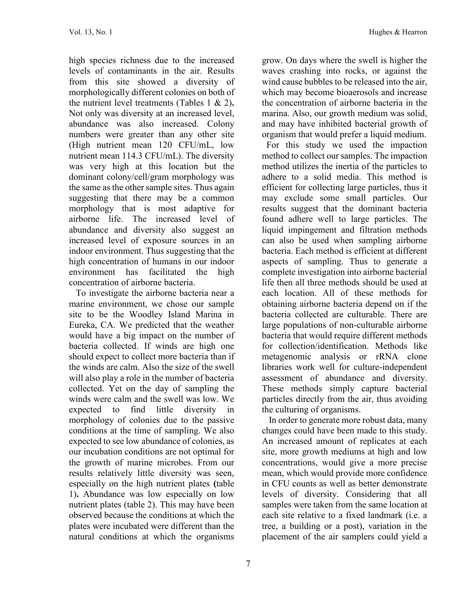high species richness due to the increased levels of contaminants in the air. Results from this site showed a diversity of morphologically different colonies on both of the nutrient level treatments (Tables 1 & 2)**.** Not only was diversity at an increased level, abundance was also increased. Colony numbers were greater than any other site (High nutrient mean 120 CFU/mL, low nutrient mean 114.3 CFU/mL). The diversity was very high at this location but the dominant colony/cell/gram morphology was the same as the other sample sites. Thus again suggesting that there may be a common morphology that is most adaptive for airborne life. The increased level of abundance and diversity also suggest an increased level of exposure sources in an indoor environment. Thus suggesting that the high concentration of humans in our indoor environment has facilitated the high concentration of airborne bacteria.

 To investigate the airborne bacteria near a marine environment, we chose our sample site to be the Woodley Island Marina in Eureka, CA. We predicted that the weather would have a big impact on the number of bacteria collected. If winds are high one should expect to collect more bacteria than if the winds are calm. Also the size of the swell will also play a role in the number of bacteria collected. Yet on the day of sampling the winds were calm and the swell was low. We expected to find little diversity in morphology of colonies due to the passive conditions at the time of sampling. We also expected to see low abundance of colonies, as our incubation conditions are not optimal for the growth of marine microbes. From our results relatively little diversity was seen, especially on the high nutrient plates **(**table 1)**.** Abundance was low especially on low nutrient plates (table 2). This may have been observed because the conditions at which the plates were incubated were different than the natural conditions at which the organisms

grow. On days where the swell is higher the waves crashing into rocks, or against the wind cause bubbles to be released into the air, which may become bioaerosols and increase the concentration of airborne bacteria in the marina. Also, our growth medium was solid, and may have inhibited bacterial growth of organism that would prefer a liquid medium.

 For this study we used the impaction method to collect our samples. The impaction method utilizes the inertia of the particles to adhere to a solid media. This method is efficient for collecting large particles, thus it may exclude some small particles. Our results suggest that the dominant bacteria found adhere well to large particles. The liquid impingement and filtration methods can also be used when sampling airborne bacteria. Each method is efficient at different aspects of sampling. Thus to generate a complete investigation into airborne bacterial life then all three methods should be used at each location. All of these methods for obtaining airborne bacteria depend on if the bacteria collected are culturable. There are large populations of non-culturable airborne bacteria that would require different methods for collection/identification. Methods like metagenomic analysis or rRNA clone libraries work well for culture-independent assessment of abundance and diversity. These methods simply capture bacterial particles directly from the air, thus avoiding the culturing of organisms.

 In order to generate more robust data, many changes could have been made to this study. An increased amount of replicates at each site, more growth mediums at high and low concentrations, would give a more precise mean, which would provide more confidence in CFU counts as well as better demonstrate levels of diversity. Considering that all samples were taken from the same location at each site relative to a fixed landmark (i.e. a tree, a building or a post), variation in the placement of the air samplers could yield a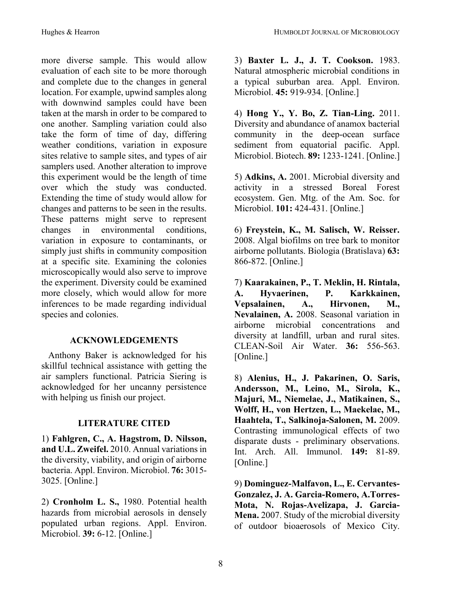more diverse sample. This would allow evaluation of each site to be more thorough and complete due to the changes in general location. For example, upwind samples along with downwind samples could have been taken at the marsh in order to be compared to one another. Sampling variation could also take the form of time of day, differing weather conditions, variation in exposure sites relative to sample sites, and types of air samplers used. Another alteration to improve this experiment would be the length of time over which the study was conducted. Extending the time of study would allow for changes and patterns to be seen in the results. These patterns might serve to represent changes in environmental conditions, variation in exposure to contaminants, or simply just shifts in community composition at a specific site. Examining the colonies microscopically would also serve to improve the experiment. Diversity could be examined more closely, which would allow for more inferences to be made regarding individual species and colonies.

## **ACKNOWLEDGEMENTS**

 Anthony Baker is acknowledged for his skillful technical assistance with getting the air samplers functional. Patricia Siering is acknowledged for her uncanny persistence with helping us finish our project.

## **LITERATURE CITED**

1) **Fahlgren, C., A. Hagstrom, D. Nilsson, and U.L. Zweifel.** 2010. Annual variations in the diversity, viability, and origin of airborne bacteria. Appl. Environ. Microbiol. **76:** 3015- 3025. [Online.]

2) **Cronholm L. S.,** 1980. Potential health hazards from microbial aerosols in densely populated urban regions. Appl. Environ. Microbiol. **39:** 6-12. [Online.]

3) **Baxter L. J., J. T. Cookson.** 1983. Natural atmospheric microbial conditions in a typical suburban area. Appl. Environ. Microbiol. **45:** 919-934. [Online.]

4) **Hong Y., Y. Bo, Z. Tian-Ling.** 2011. Diversity and abundance of anamox bacterial community in the deep-ocean surface sediment from equatorial pacific. Appl. Microbiol. Biotech. **89:** 1233-1241. [Online.]

5) **Adkins, A.** 2001. Microbial diversity and activity in a stressed Boreal Forest ecosystem. Gen. Mtg. of the Am. Soc. for Microbiol. **101:** 424-431. [Online.]

6) **Freystein, K., M. Salisch, W. Reisser.**  2008. Algal biofilms on tree bark to monitor airborne pollutants. Biologia (Bratislava) **63:**  866-872. [Online.]

7) **Kaarakainen, P., T. Meklin, H. Rintala, A. Hyvaerinen, P. Karkkainen, Vepsalainen, A., Hirvonen, M., Nevalainen, A.** 2008. Seasonal variation in airborne microbial concentrations and diversity at landfill, urban and rural sites. CLEAN-Soil Air Water. **36:** 556-563. [Online.]

8) **Alenius, H., J. Pakarinen, O. Saris, Andersson, M., Leino, M., Sirola, K., Majuri, M., Niemelae, J., Matikainen, S., Wolff, H., von Hertzen, L., Maekelae, M., Haahtela, T., Salkinoja-Salonen, M.** 2009. Contrasting immunological effects of two disparate dusts - preliminary observations. Int. Arch. All. Immunol. **149:** 81-89. [Online.]

9) **Dominguez-Malfavon, L., E. Cervantes-Gonzalez, J. A. Garcia-Romero, A.Torres-Mota, N. Rojas-Avelizapa, J. Garcia-Mena.** 2007. Study of the microbial diversity of outdoor bioaerosols of Mexico City.